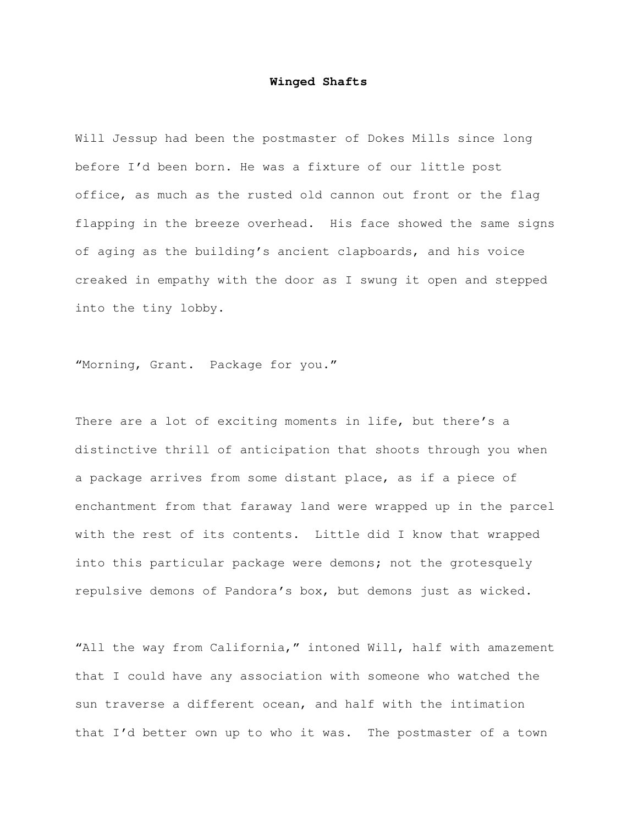## **Winged Shafts**

Will Jessup had been the postmaster of Dokes Mills since long before I'd been born. He was a fixture of our little post office, as much as the rusted old cannon out front or the flag flapping in the breeze overhead. His face showed the same signs of aging as the building's ancient clapboards, and his voice creaked in empathy with the door as I swung it open and stepped into the tiny lobby.

"Morning, Grant. Package for you."

There are a lot of exciting moments in life, but there's a distinctive thrill of anticipation that shoots through you when a package arrives from some distant place, as if a piece of enchantment from that faraway land were wrapped up in the parcel with the rest of its contents. Little did I know that wrapped into this particular package were demons; not the grotesquely repulsive demons of Pandora's box, but demons just as wicked.

"All the way from California," intoned Will, half with amazement that I could have any association with someone who watched the sun traverse a different ocean, and half with the intimation that I'd better own up to who it was. The postmaster of a town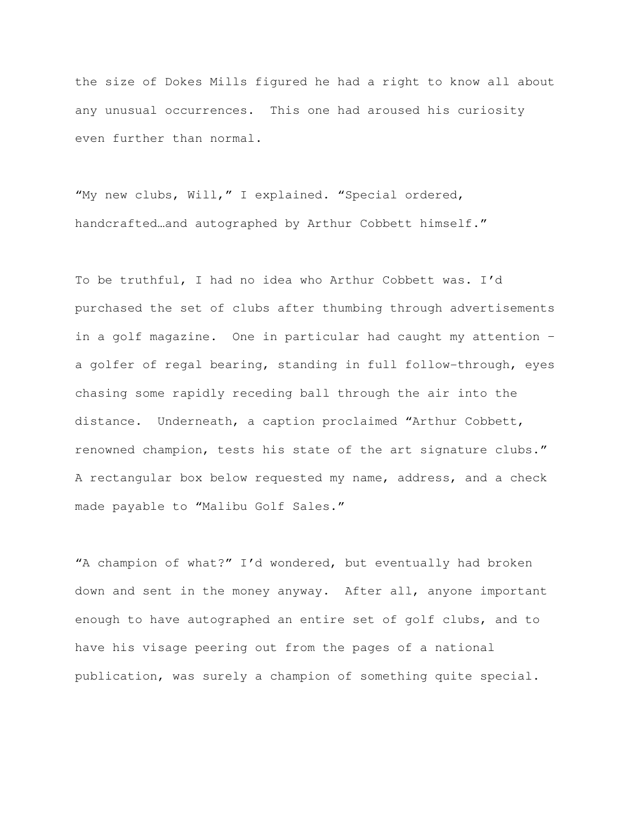the size of Dokes Mills figured he had a right to know all about any unusual occurrences. This one had aroused his curiosity even further than normal.

"My new clubs, Will," I explained. "Special ordered, handcrafted...and autographed by Arthur Cobbett himself."

To be truthful, I had no idea who Arthur Cobbett was. I'd purchased the set of clubs after thumbing through advertisements in a golf magazine. One in particular had caught my attention – a golfer of regal bearing, standing in full follow-through, eyes chasing some rapidly receding ball through the air into the distance. Underneath, a caption proclaimed "Arthur Cobbett, renowned champion, tests his state of the art signature clubs." A rectangular box below requested my name, address, and a check made payable to "Malibu Golf Sales."

"A champion of what?" I'd wondered, but eventually had broken down and sent in the money anyway. After all, anyone important enough to have autographed an entire set of golf clubs, and to have his visage peering out from the pages of a national publication, was surely a champion of something quite special.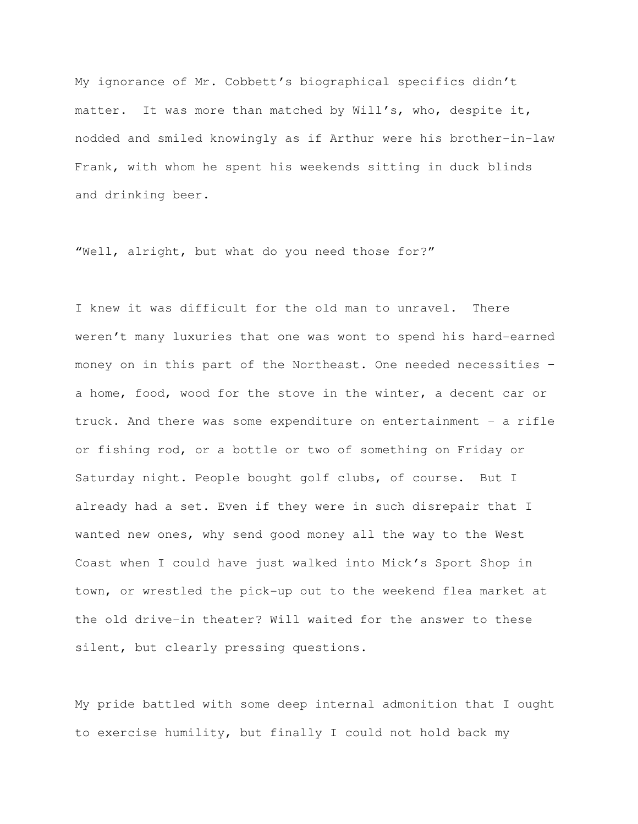My ignorance of Mr. Cobbett's biographical specifics didn't matter. It was more than matched by Will's, who, despite it, nodded and smiled knowingly as if Arthur were his brother-in-law Frank, with whom he spent his weekends sitting in duck blinds and drinking beer.

"Well, alright, but what do you need those for?"

I knew it was difficult for the old man to unravel. There weren't many luxuries that one was wont to spend his hard-earned money on in this part of the Northeast. One needed necessities – a home, food, wood for the stove in the winter, a decent car or truck. And there was some expenditure on entertainment – a rifle or fishing rod, or a bottle or two of something on Friday or Saturday night. People bought golf clubs, of course. But I already had a set. Even if they were in such disrepair that I wanted new ones, why send good money all the way to the West Coast when I could have just walked into Mick's Sport Shop in town, or wrestled the pick-up out to the weekend flea market at the old drive-in theater? Will waited for the answer to these silent, but clearly pressing questions.

My pride battled with some deep internal admonition that I ought to exercise humility, but finally I could not hold back my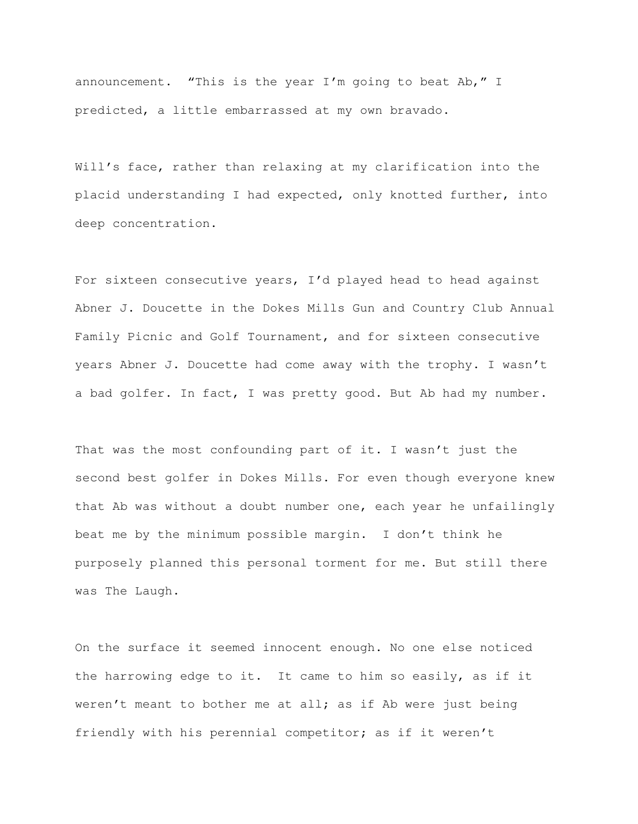announcement. "This is the year I'm going to beat Ab," I predicted, a little embarrassed at my own bravado.

Will's face, rather than relaxing at my clarification into the placid understanding I had expected, only knotted further, into deep concentration.

For sixteen consecutive years, I'd played head to head against Abner J. Doucette in the Dokes Mills Gun and Country Club Annual Family Picnic and Golf Tournament, and for sixteen consecutive years Abner J. Doucette had come away with the trophy. I wasn't a bad golfer. In fact, I was pretty good. But Ab had my number.

That was the most confounding part of it. I wasn't just the second best golfer in Dokes Mills. For even though everyone knew that Ab was without a doubt number one, each year he unfailingly beat me by the minimum possible margin. I don't think he purposely planned this personal torment for me. But still there was The Laugh.

On the surface it seemed innocent enough. No one else noticed the harrowing edge to it. It came to him so easily, as if it weren't meant to bother me at all; as if Ab were just being friendly with his perennial competitor; as if it weren't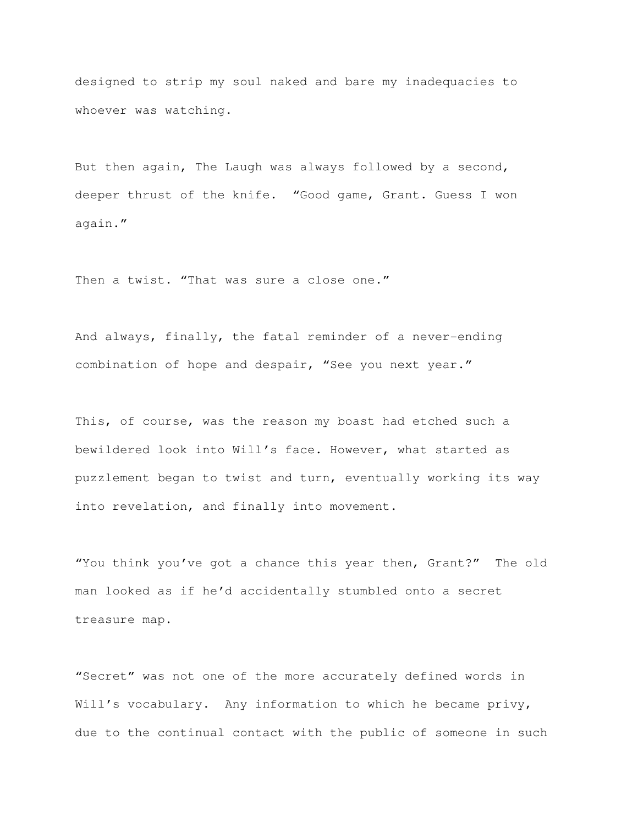designed to strip my soul naked and bare my inadequacies to whoever was watching.

But then again, The Laugh was always followed by a second, deeper thrust of the knife. "Good game, Grant. Guess I won again."

Then a twist. "That was sure a close one."

And always, finally, the fatal reminder of a never-ending combination of hope and despair, "See you next year."

This, of course, was the reason my boast had etched such a bewildered look into Will's face. However, what started as puzzlement began to twist and turn, eventually working its way into revelation, and finally into movement.

"You think you've got a chance this year then, Grant?" The old man looked as if he'd accidentally stumbled onto a secret treasure map.

"Secret" was not one of the more accurately defined words in Will's vocabulary. Any information to which he became privy, due to the continual contact with the public of someone in such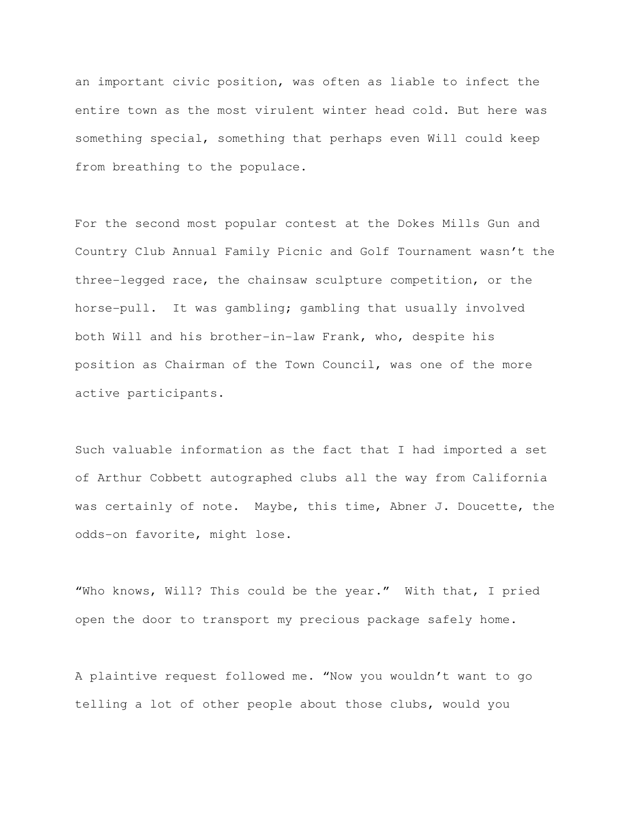an important civic position, was often as liable to infect the entire town as the most virulent winter head cold. But here was something special, something that perhaps even Will could keep from breathing to the populace.

For the second most popular contest at the Dokes Mills Gun and Country Club Annual Family Picnic and Golf Tournament wasn't the three-legged race, the chainsaw sculpture competition, or the horse-pull. It was gambling; gambling that usually involved both Will and his brother-in-law Frank, who, despite his position as Chairman of the Town Council, was one of the more active participants.

Such valuable information as the fact that I had imported a set of Arthur Cobbett autographed clubs all the way from California was certainly of note. Maybe, this time, Abner J. Doucette, the odds-on favorite, might lose.

"Who knows, Will? This could be the year." With that, I pried open the door to transport my precious package safely home.

A plaintive request followed me. "Now you wouldn't want to go telling a lot of other people about those clubs, would you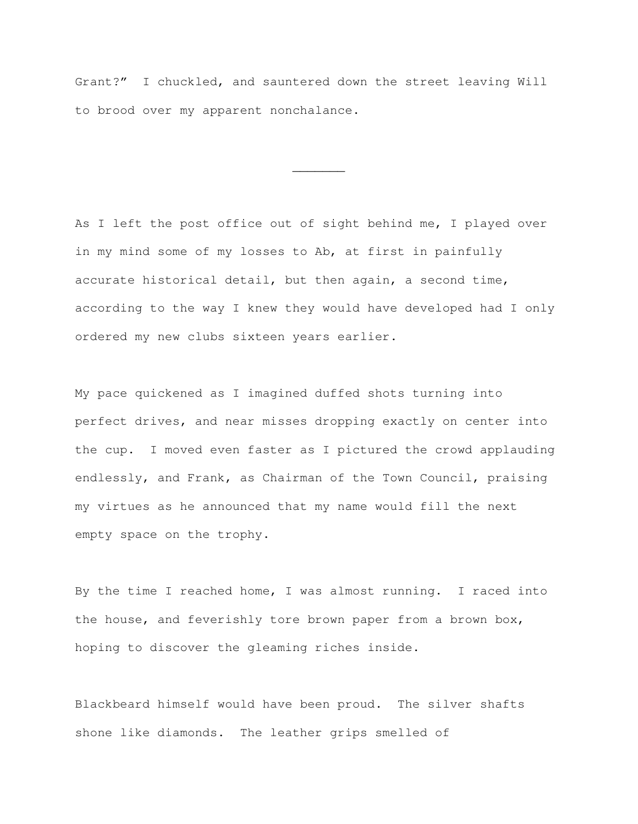Grant?" I chuckled, and sauntered down the street leaving Will to brood over my apparent nonchalance.

 $\overline{\phantom{a}}$   $\overline{\phantom{a}}$ 

As I left the post office out of sight behind me, I played over in my mind some of my losses to Ab, at first in painfully accurate historical detail, but then again, a second time, according to the way I knew they would have developed had I only ordered my new clubs sixteen years earlier.

My pace quickened as I imagined duffed shots turning into perfect drives, and near misses dropping exactly on center into the cup. I moved even faster as I pictured the crowd applauding endlessly, and Frank, as Chairman of the Town Council, praising my virtues as he announced that my name would fill the next empty space on the trophy.

By the time I reached home, I was almost running. I raced into the house, and feverishly tore brown paper from a brown box, hoping to discover the gleaming riches inside.

Blackbeard himself would have been proud. The silver shafts shone like diamonds. The leather grips smelled of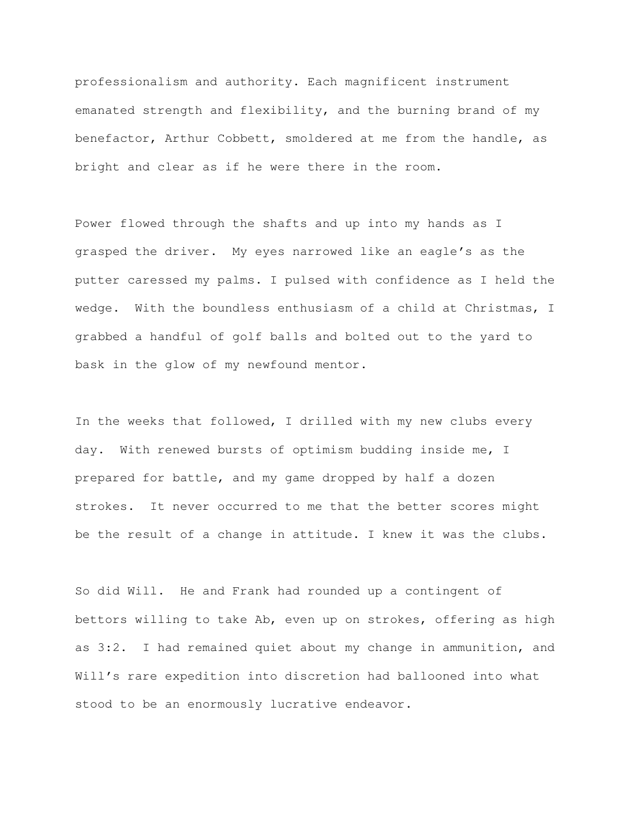professionalism and authority. Each magnificent instrument emanated strength and flexibility, and the burning brand of my benefactor, Arthur Cobbett, smoldered at me from the handle, as bright and clear as if he were there in the room.

Power flowed through the shafts and up into my hands as I grasped the driver. My eyes narrowed like an eagle's as the putter caressed my palms. I pulsed with confidence as I held the wedge. With the boundless enthusiasm of a child at Christmas, I grabbed a handful of golf balls and bolted out to the yard to bask in the glow of my newfound mentor.

In the weeks that followed, I drilled with my new clubs every day. With renewed bursts of optimism budding inside me, I prepared for battle, and my game dropped by half a dozen strokes. It never occurred to me that the better scores might be the result of a change in attitude. I knew it was the clubs.

So did Will. He and Frank had rounded up a contingent of bettors willing to take Ab, even up on strokes, offering as high as 3:2. I had remained quiet about my change in ammunition, and Will's rare expedition into discretion had ballooned into what stood to be an enormously lucrative endeavor.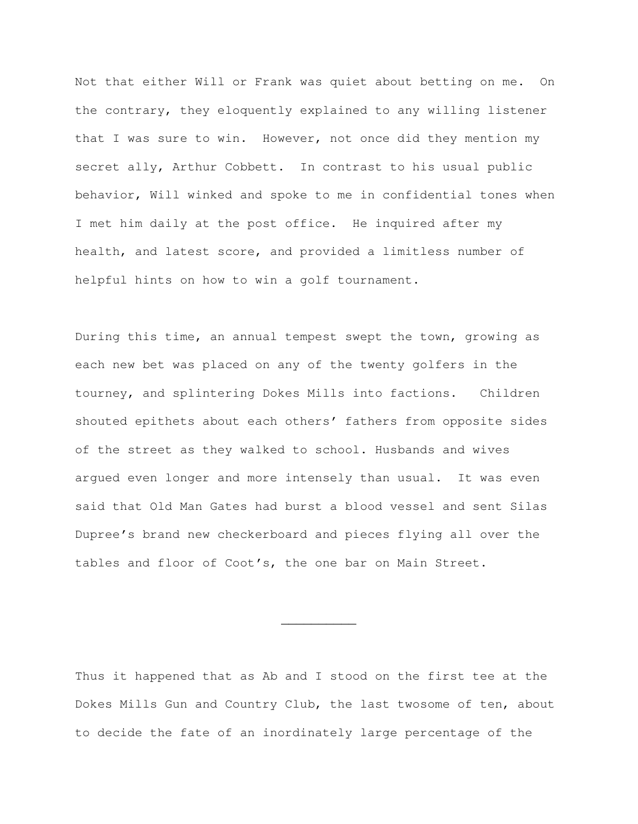Not that either Will or Frank was quiet about betting on me. On the contrary, they eloquently explained to any willing listener that I was sure to win. However, not once did they mention my secret ally, Arthur Cobbett. In contrast to his usual public behavior, Will winked and spoke to me in confidential tones when I met him daily at the post office. He inquired after my health, and latest score, and provided a limitless number of helpful hints on how to win a golf tournament.

During this time, an annual tempest swept the town, growing as each new bet was placed on any of the twenty golfers in the tourney, and splintering Dokes Mills into factions. Children shouted epithets about each others' fathers from opposite sides of the street as they walked to school. Husbands and wives argued even longer and more intensely than usual. It was even said that Old Man Gates had burst a blood vessel and sent Silas Dupree's brand new checkerboard and pieces flying all over the tables and floor of Coot's, the one bar on Main Street.

Thus it happened that as Ab and I stood on the first tee at the Dokes Mills Gun and Country Club, the last twosome of ten, about to decide the fate of an inordinately large percentage of the

 $\overline{\phantom{a}}$  , where  $\overline{\phantom{a}}$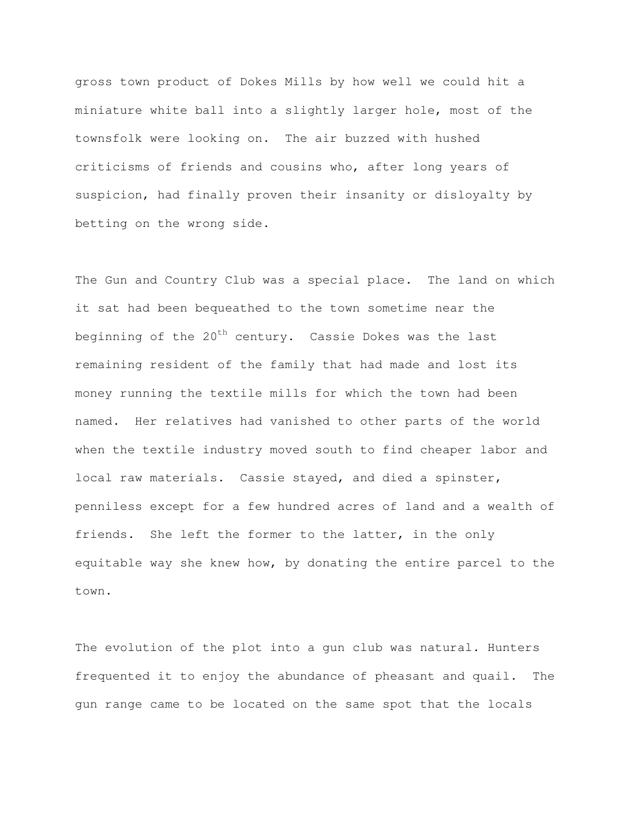gross town product of Dokes Mills by how well we could hit a miniature white ball into a slightly larger hole, most of the townsfolk were looking on. The air buzzed with hushed criticisms of friends and cousins who, after long years of suspicion, had finally proven their insanity or disloyalty by betting on the wrong side.

The Gun and Country Club was a special place. The land on which it sat had been bequeathed to the town sometime near the beginning of the  $20^{th}$  century. Cassie Dokes was the last remaining resident of the family that had made and lost its money running the textile mills for which the town had been named. Her relatives had vanished to other parts of the world when the textile industry moved south to find cheaper labor and local raw materials. Cassie stayed, and died a spinster, penniless except for a few hundred acres of land and a wealth of friends. She left the former to the latter, in the only equitable way she knew how, by donating the entire parcel to the town.

The evolution of the plot into a gun club was natural. Hunters frequented it to enjoy the abundance of pheasant and quail. The gun range came to be located on the same spot that the locals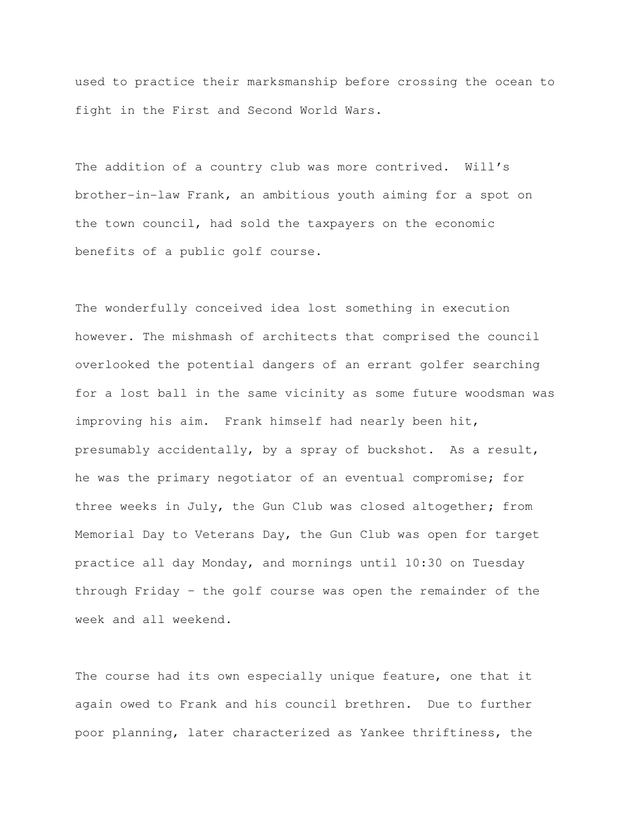used to practice their marksmanship before crossing the ocean to fight in the First and Second World Wars.

The addition of a country club was more contrived. Will's brother-in-law Frank, an ambitious youth aiming for a spot on the town council, had sold the taxpayers on the economic benefits of a public golf course.

The wonderfully conceived idea lost something in execution however. The mishmash of architects that comprised the council overlooked the potential dangers of an errant golfer searching for a lost ball in the same vicinity as some future woodsman was improving his aim. Frank himself had nearly been hit, presumably accidentally, by a spray of buckshot. As a result, he was the primary negotiator of an eventual compromise; for three weeks in July, the Gun Club was closed altogether; from Memorial Day to Veterans Day, the Gun Club was open for target practice all day Monday, and mornings until 10:30 on Tuesday through Friday – the golf course was open the remainder of the week and all weekend.

The course had its own especially unique feature, one that it again owed to Frank and his council brethren. Due to further poor planning, later characterized as Yankee thriftiness, the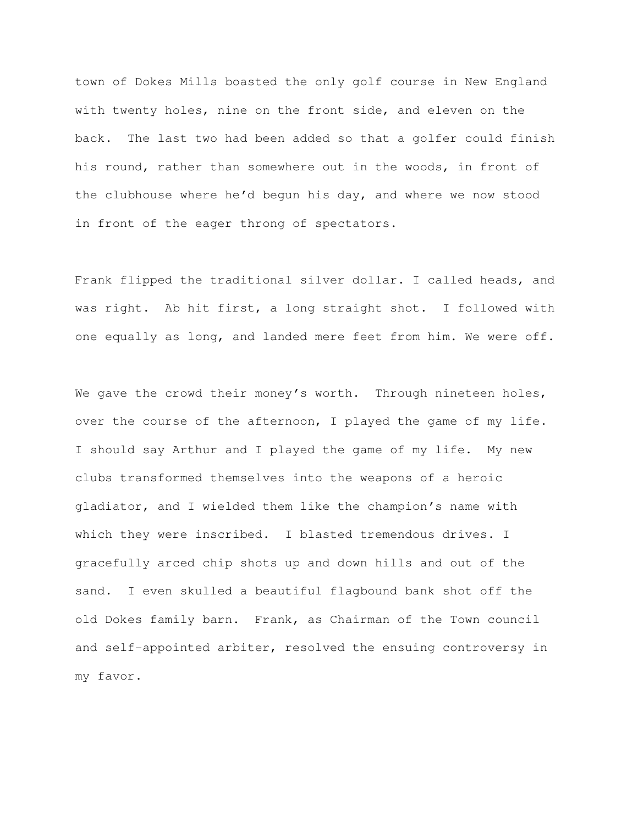town of Dokes Mills boasted the only golf course in New England with twenty holes, nine on the front side, and eleven on the back. The last two had been added so that a golfer could finish his round, rather than somewhere out in the woods, in front of the clubhouse where he'd begun his day, and where we now stood in front of the eager throng of spectators.

Frank flipped the traditional silver dollar. I called heads, and was right. Ab hit first, a long straight shot. I followed with one equally as long, and landed mere feet from him. We were off.

We gave the crowd their money's worth. Through nineteen holes, over the course of the afternoon, I played the game of my life. I should say Arthur and I played the game of my life. My new clubs transformed themselves into the weapons of a heroic gladiator, and I wielded them like the champion's name with which they were inscribed. I blasted tremendous drives. I gracefully arced chip shots up and down hills and out of the sand. I even skulled a beautiful flagbound bank shot off the old Dokes family barn. Frank, as Chairman of the Town council and self-appointed arbiter, resolved the ensuing controversy in my favor.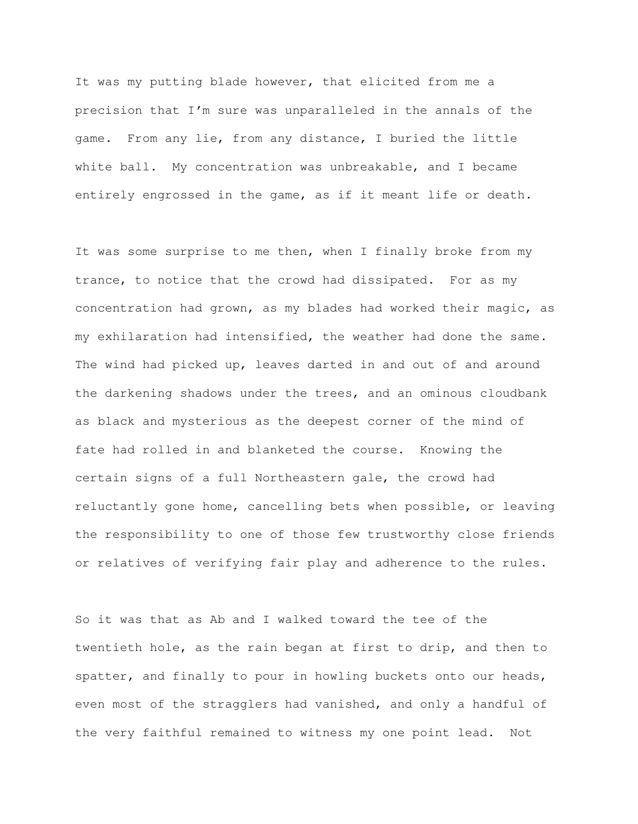It was my putting blade however, that elicited from me a precision that I'm sure was unparalleled in the annals of the game. From any lie, from any distance, I buried the little white ball. My concentration was unbreakable, and I became entirely engrossed in the game, as if it meant life or death.

It was some surprise to me then, when I finally broke from my trance, to notice that the crowd had dissipated. For as my concentration had grown, as my blades had worked their magic, as my exhilaration had intensified, the weather had done the same. The wind had picked up, leaves darted in and out of and around the darkening shadows under the trees, and an ominous cloudbank as black and mysterious as the deepest corner of the mind of fate had rolled in and blanketed the course. Knowing the certain signs of a full Northeastern gale, the crowd had reluctantly gone home, cancelling bets when possible, or leaving the responsibility to one of those few trustworthy close friends or relatives of verifying fair play and adherence to the rules.

So it was that as Ab and I walked toward the tee of the twentieth hole, as the rain began at first to drip, and then to spatter, and finally to pour in howling buckets onto our heads, even most of the stragglers had vanished, and only a handful of the very faithful remained to witness my one point lead. Not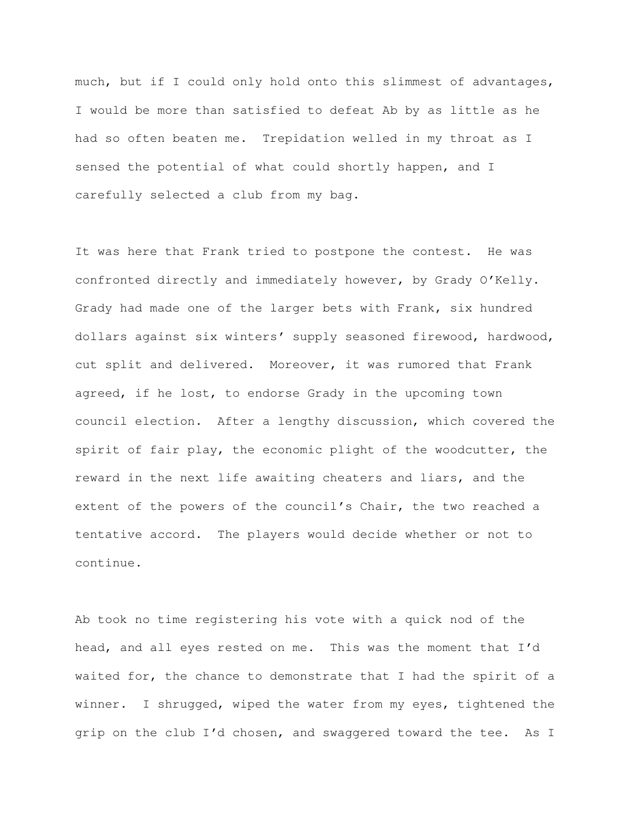much, but if I could only hold onto this slimmest of advantages, I would be more than satisfied to defeat Ab by as little as he had so often beaten me. Trepidation welled in my throat as I sensed the potential of what could shortly happen, and I carefully selected a club from my bag.

It was here that Frank tried to postpone the contest. He was confronted directly and immediately however, by Grady O'Kelly. Grady had made one of the larger bets with Frank, six hundred dollars against six winters' supply seasoned firewood, hardwood, cut split and delivered. Moreover, it was rumored that Frank agreed, if he lost, to endorse Grady in the upcoming town council election. After a lengthy discussion, which covered the spirit of fair play, the economic plight of the woodcutter, the reward in the next life awaiting cheaters and liars, and the extent of the powers of the council's Chair, the two reached a tentative accord. The players would decide whether or not to continue.

Ab took no time registering his vote with a quick nod of the head, and all eyes rested on me. This was the moment that I'd waited for, the chance to demonstrate that I had the spirit of a winner. I shrugged, wiped the water from my eyes, tightened the grip on the club I'd chosen, and swaggered toward the tee. As I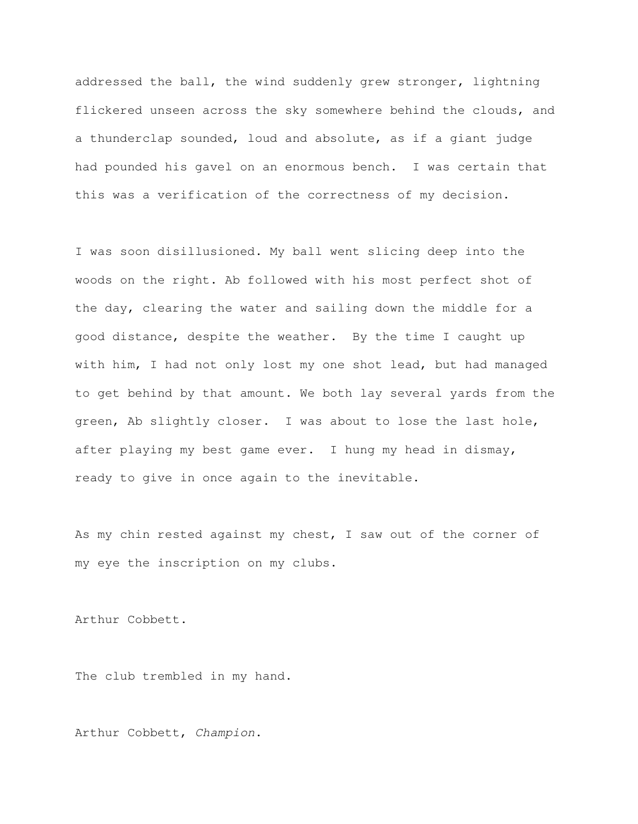addressed the ball, the wind suddenly grew stronger, lightning flickered unseen across the sky somewhere behind the clouds, and a thunderclap sounded, loud and absolute, as if a giant judge had pounded his gavel on an enormous bench. I was certain that this was a verification of the correctness of my decision.

I was soon disillusioned. My ball went slicing deep into the woods on the right. Ab followed with his most perfect shot of the day, clearing the water and sailing down the middle for a good distance, despite the weather. By the time I caught up with him, I had not only lost my one shot lead, but had managed to get behind by that amount. We both lay several yards from the green, Ab slightly closer. I was about to lose the last hole, after playing my best game ever. I hung my head in dismay, ready to give in once again to the inevitable.

As my chin rested against my chest, I saw out of the corner of my eye the inscription on my clubs.

Arthur Cobbett.

The club trembled in my hand.

Arthur Cobbett, Champion.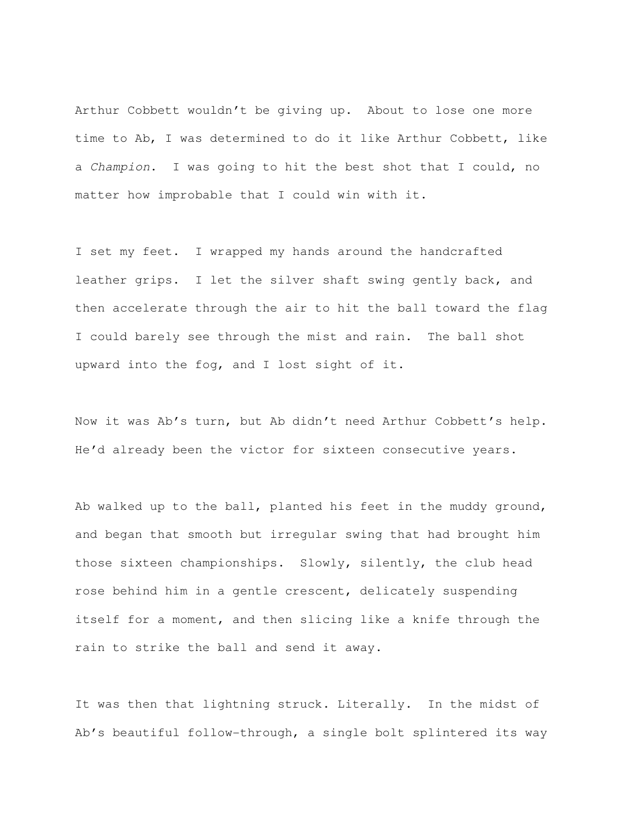Arthur Cobbett wouldn't be giving up. About to lose one more time to Ab, I was determined to do it like Arthur Cobbett, like a Champion. I was going to hit the best shot that I could, no matter how improbable that I could win with it.

I set my feet. I wrapped my hands around the handcrafted leather grips. I let the silver shaft swing gently back, and then accelerate through the air to hit the ball toward the flag I could barely see through the mist and rain. The ball shot upward into the fog, and I lost sight of it.

Now it was Ab's turn, but Ab didn't need Arthur Cobbett's help. He'd already been the victor for sixteen consecutive years.

Ab walked up to the ball, planted his feet in the muddy ground, and began that smooth but irregular swing that had brought him those sixteen championships. Slowly, silently, the club head rose behind him in a gentle crescent, delicately suspending itself for a moment, and then slicing like a knife through the rain to strike the ball and send it away.

It was then that lightning struck. Literally. In the midst of Ab's beautiful follow-through, a single bolt splintered its way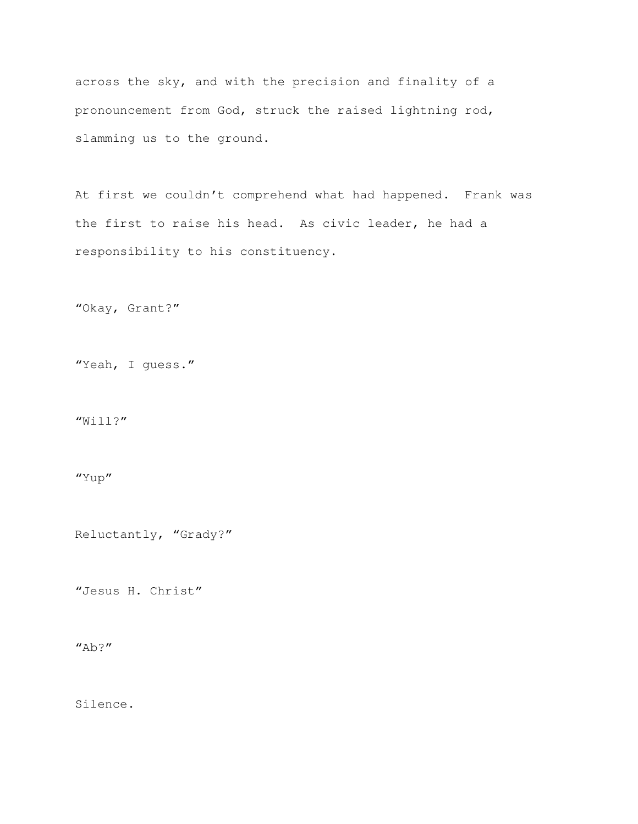across the sky, and with the precision and finality of a pronouncement from God, struck the raised lightning rod, slamming us to the ground.

At first we couldn't comprehend what had happened. Frank was the first to raise his head. As civic leader, he had a responsibility to his constituency.

"Okay, Grant?"

"Yeah, I guess."

"Will?"

"Yup"

Reluctantly, "Grady?"

"Jesus H. Christ"

 $"Ab?"$ 

Silence.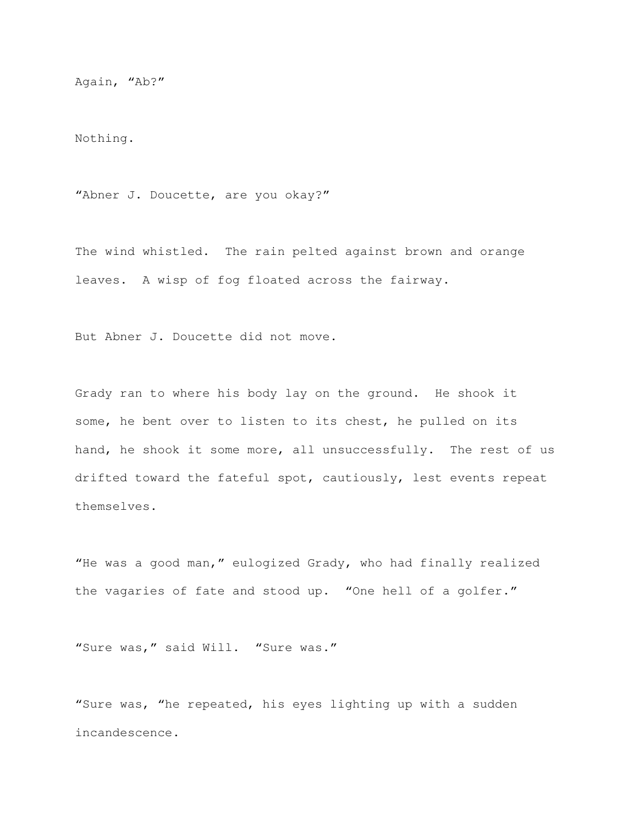Again, "Ab?"

Nothing.

"Abner J. Doucette, are you okay?"

The wind whistled. The rain pelted against brown and orange leaves. A wisp of fog floated across the fairway.

But Abner J. Doucette did not move.

Grady ran to where his body lay on the ground. He shook it some, he bent over to listen to its chest, he pulled on its hand, he shook it some more, all unsuccessfully. The rest of us drifted toward the fateful spot, cautiously, lest events repeat themselves.

"He was a good man," eulogized Grady, who had finally realized the vagaries of fate and stood up. "One hell of a golfer."

"Sure was," said Will. "Sure was."

"Sure was, "he repeated, his eyes lighting up with a sudden incandescence.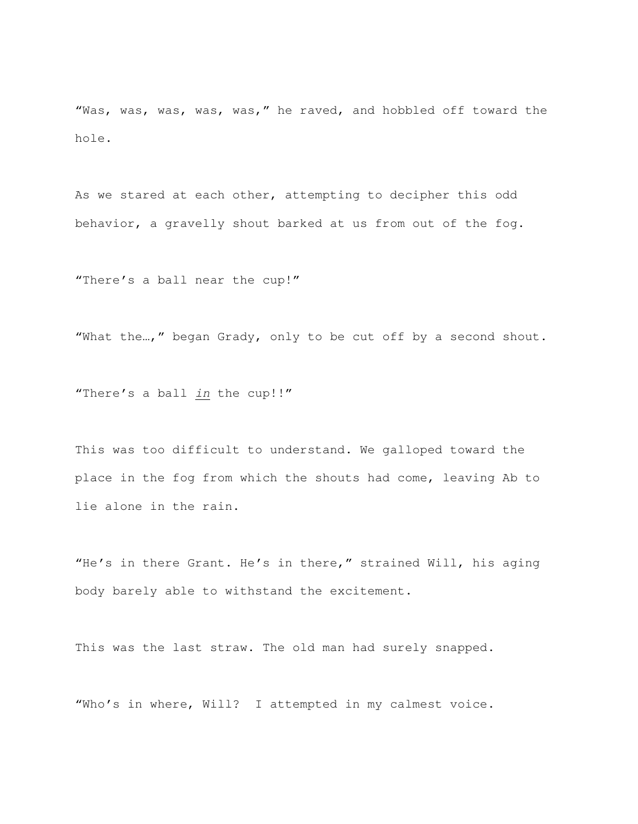"Was, was, was, was, was," he raved, and hobbled off toward the hole.

As we stared at each other, attempting to decipher this odd behavior, a gravelly shout barked at us from out of the fog.

"There's a ball near the cup!"

"What the…," began Grady, only to be cut off by a second shout.

"There's a ball in the cup!!"

This was too difficult to understand. We galloped toward the place in the fog from which the shouts had come, leaving Ab to lie alone in the rain.

"He's in there Grant. He's in there," strained Will, his aging body barely able to withstand the excitement.

This was the last straw. The old man had surely snapped.

"Who's in where, Will? I attempted in my calmest voice.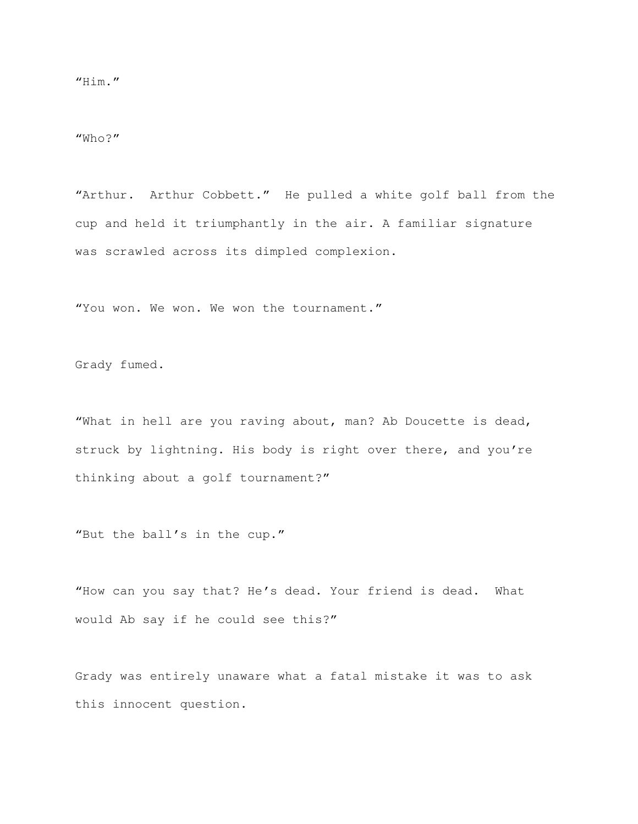"Who?"

"Arthur. Arthur Cobbett." He pulled a white golf ball from the cup and held it triumphantly in the air. A familiar signature was scrawled across its dimpled complexion.

"You won. We won. We won the tournament."

Grady fumed.

"What in hell are you raving about, man? Ab Doucette is dead, struck by lightning. His body is right over there, and you're thinking about a golf tournament?"

"But the ball's in the cup."

"How can you say that? He's dead. Your friend is dead. What would Ab say if he could see this?"

Grady was entirely unaware what a fatal mistake it was to ask this innocent question.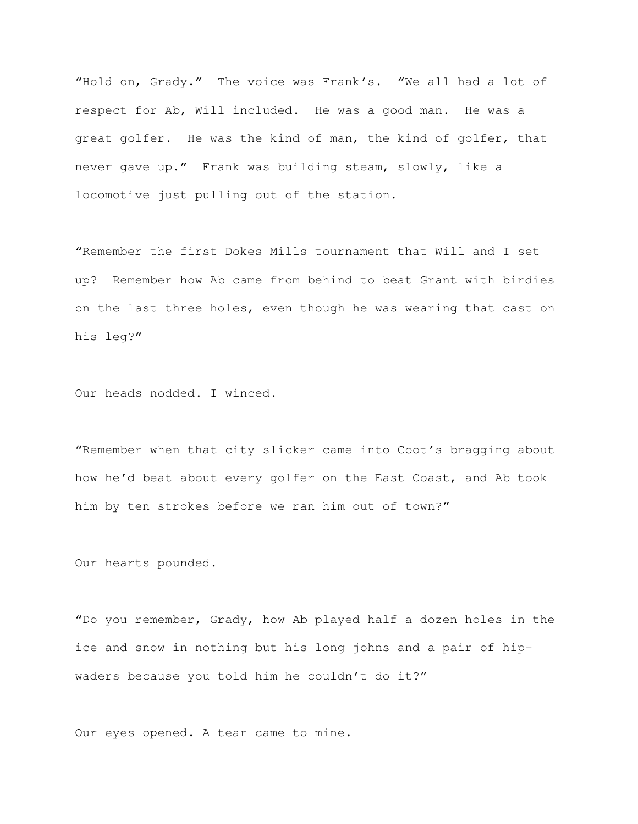"Hold on, Grady." The voice was Frank's. "We all had a lot of respect for Ab, Will included. He was a good man. He was a great golfer. He was the kind of man, the kind of golfer, that never gave up." Frank was building steam, slowly, like a locomotive just pulling out of the station.

"Remember the first Dokes Mills tournament that Will and I set up? Remember how Ab came from behind to beat Grant with birdies on the last three holes, even though he was wearing that cast on his leg?"

Our heads nodded. I winced.

"Remember when that city slicker came into Coot's bragging about how he'd beat about every golfer on the East Coast, and Ab took him by ten strokes before we ran him out of town?"

Our hearts pounded.

"Do you remember, Grady, how Ab played half a dozen holes in the ice and snow in nothing but his long johns and a pair of hipwaders because you told him he couldn't do it?"

Our eyes opened. A tear came to mine.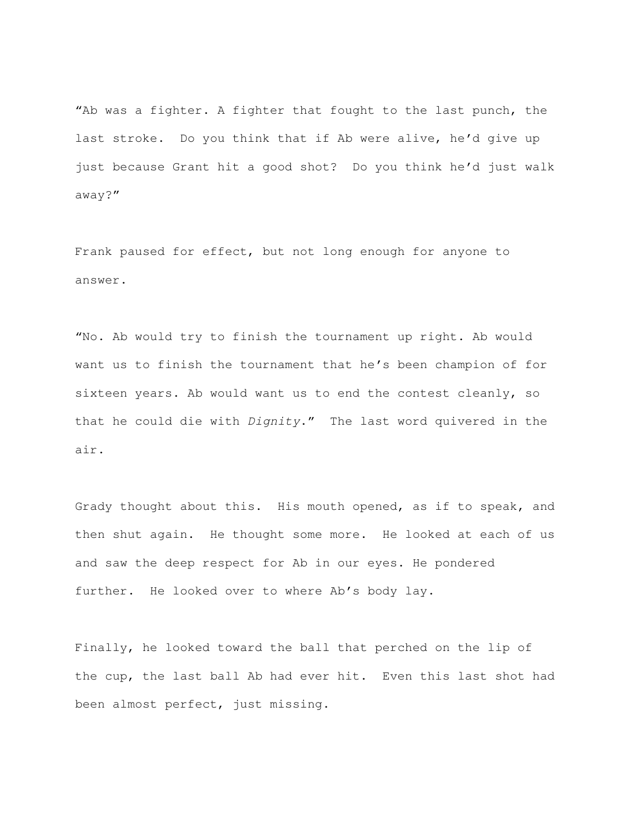"Ab was a fighter. A fighter that fought to the last punch, the last stroke. Do you think that if Ab were alive, he'd give up just because Grant hit a good shot? Do you think he'd just walk away?"

Frank paused for effect, but not long enough for anyone to answer.

"No. Ab would try to finish the tournament up right. Ab would want us to finish the tournament that he's been champion of for sixteen years. Ab would want us to end the contest cleanly, so that he could die with Dignity." The last word quivered in the air.

Grady thought about this. His mouth opened, as if to speak, and then shut again. He thought some more. He looked at each of us and saw the deep respect for Ab in our eyes. He pondered further. He looked over to where Ab's body lay.

Finally, he looked toward the ball that perched on the lip of the cup, the last ball Ab had ever hit. Even this last shot had been almost perfect, just missing.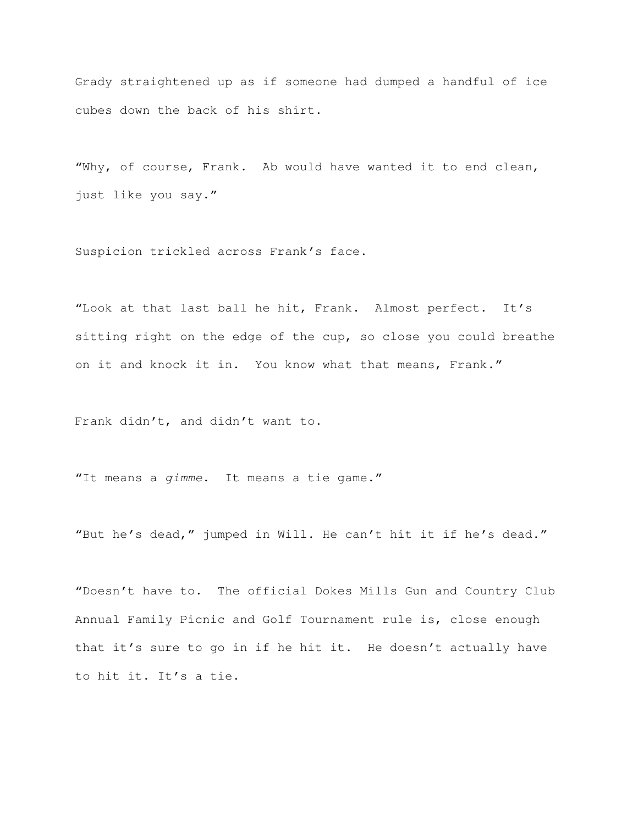Grady straightened up as if someone had dumped a handful of ice cubes down the back of his shirt.

"Why, of course, Frank. Ab would have wanted it to end clean, just like you say."

Suspicion trickled across Frank's face.

"Look at that last ball he hit, Frank. Almost perfect. It's sitting right on the edge of the cup, so close you could breathe on it and knock it in. You know what that means, Frank."

Frank didn't, and didn't want to.

"It means a gimme. It means a tie game."

"But he's dead," jumped in Will. He can't hit it if he's dead."

"Doesn't have to. The official Dokes Mills Gun and Country Club Annual Family Picnic and Golf Tournament rule is, close enough that it's sure to go in if he hit it. He doesn't actually have to hit it. It's a tie.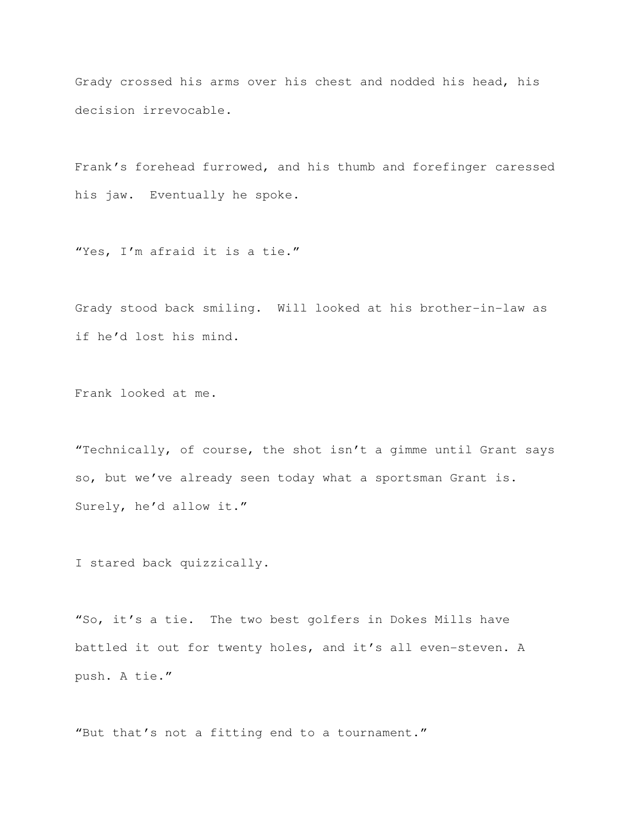Grady crossed his arms over his chest and nodded his head, his decision irrevocable.

Frank's forehead furrowed, and his thumb and forefinger caressed his jaw. Eventually he spoke.

"Yes, I'm afraid it is a tie."

Grady stood back smiling. Will looked at his brother-in-law as if he'd lost his mind.

Frank looked at me.

"Technically, of course, the shot isn't a gimme until Grant says so, but we've already seen today what a sportsman Grant is. Surely, he'd allow it."

I stared back quizzically.

"So, it's a tie. The two best golfers in Dokes Mills have battled it out for twenty holes, and it's all even-steven. A push. A tie."

"But that's not a fitting end to a tournament."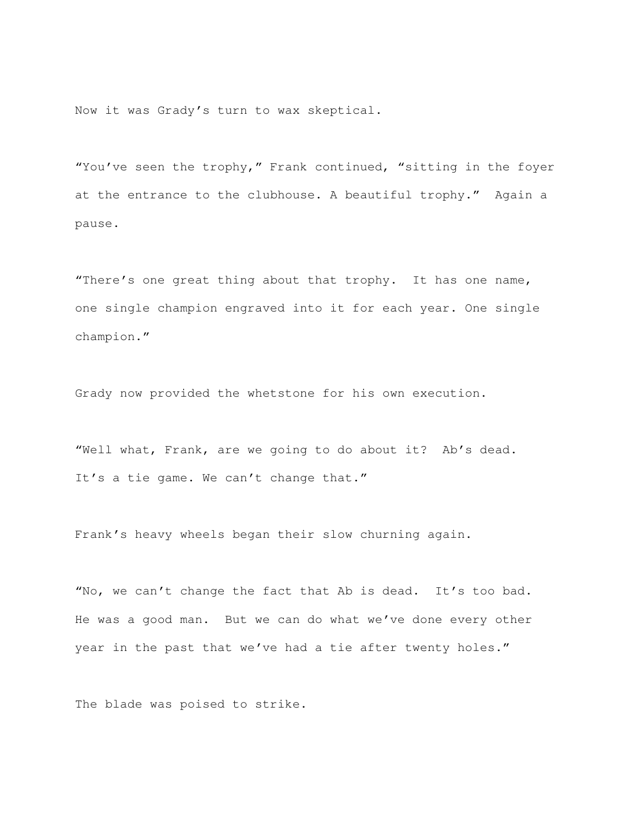Now it was Grady's turn to wax skeptical.

"You've seen the trophy," Frank continued, "sitting in the foyer at the entrance to the clubhouse. A beautiful trophy." Again a pause.

"There's one great thing about that trophy. It has one name, one single champion engraved into it for each year. One single champion."

Grady now provided the whetstone for his own execution.

"Well what, Frank, are we going to do about it? Ab's dead. It's a tie game. We can't change that."

Frank's heavy wheels began their slow churning again.

"No, we can't change the fact that Ab is dead. It's too bad. He was a good man. But we can do what we've done every other year in the past that we've had a tie after twenty holes."

The blade was poised to strike.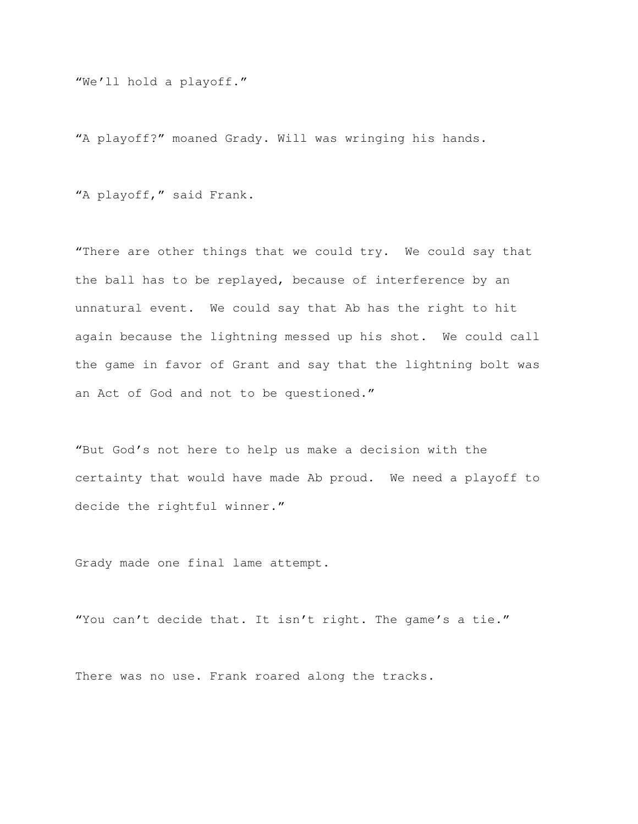"We'll hold a playoff."

"A playoff?" moaned Grady. Will was wringing his hands.

"A playoff," said Frank.

"There are other things that we could try. We could say that the ball has to be replayed, because of interference by an unnatural event. We could say that Ab has the right to hit again because the lightning messed up his shot. We could call the game in favor of Grant and say that the lightning bolt was an Act of God and not to be questioned."

"But God's not here to help us make a decision with the certainty that would have made Ab proud. We need a playoff to decide the rightful winner."

Grady made one final lame attempt.

"You can't decide that. It isn't right. The game's a tie."

There was no use. Frank roared along the tracks.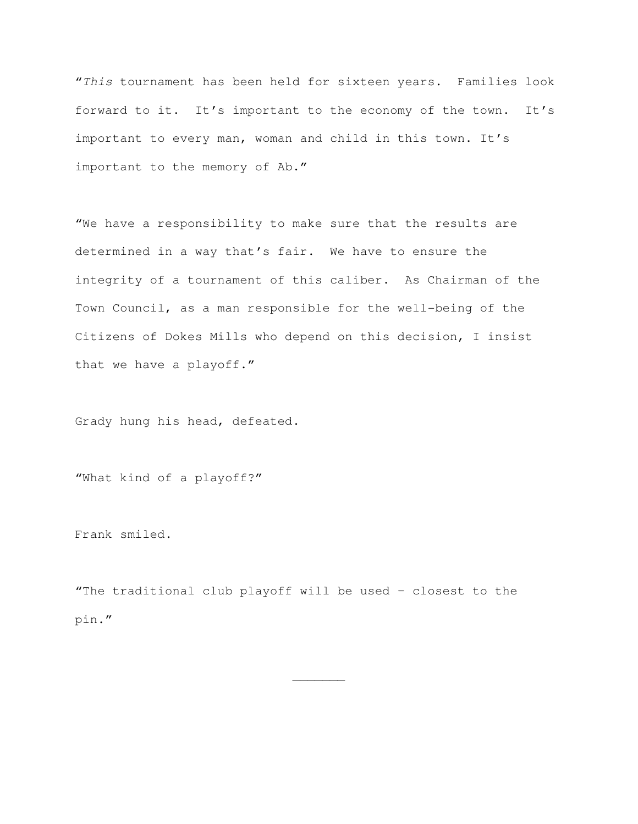"This tournament has been held for sixteen years. Families look forward to it. It's important to the economy of the town. It's important to every man, woman and child in this town. It's important to the memory of Ab."

"We have a responsibility to make sure that the results are determined in a way that's fair. We have to ensure the integrity of a tournament of this caliber. As Chairman of the Town Council, as a man responsible for the well-being of the Citizens of Dokes Mills who depend on this decision, I insist that we have a playoff."

Grady hung his head, defeated.

"What kind of a playoff?"

Frank smiled.

"The traditional club playoff will be used – closest to the pin."

 $\overline{\phantom{a}}$   $\overline{\phantom{a}}$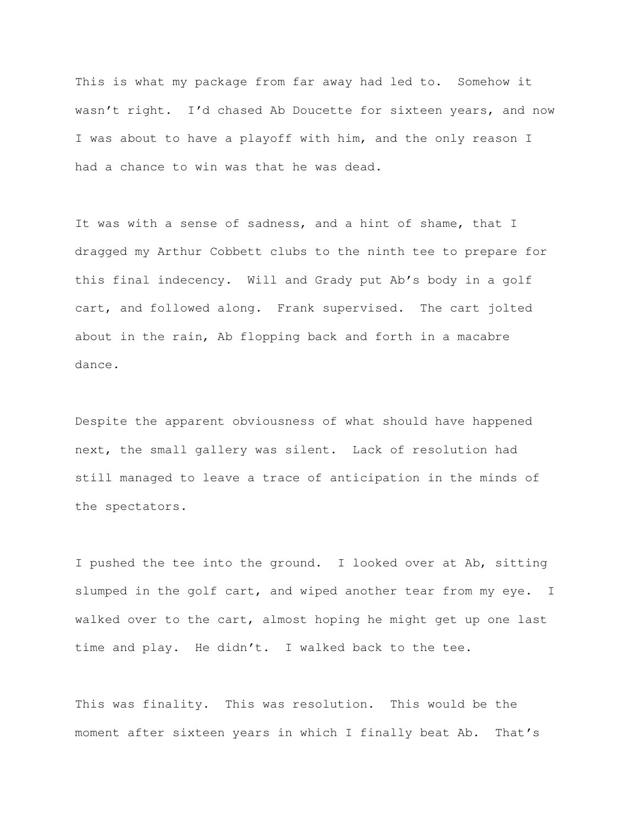This is what my package from far away had led to. Somehow it wasn't right. I'd chased Ab Doucette for sixteen years, and now I was about to have a playoff with him, and the only reason I had a chance to win was that he was dead.

It was with a sense of sadness, and a hint of shame, that I dragged my Arthur Cobbett clubs to the ninth tee to prepare for this final indecency. Will and Grady put Ab's body in a golf cart, and followed along. Frank supervised. The cart jolted about in the rain, Ab flopping back and forth in a macabre dance.

Despite the apparent obviousness of what should have happened next, the small gallery was silent. Lack of resolution had still managed to leave a trace of anticipation in the minds of the spectators.

I pushed the tee into the ground. I looked over at Ab, sitting slumped in the golf cart, and wiped another tear from my eye. I walked over to the cart, almost hoping he might get up one last time and play. He didn't. I walked back to the tee.

This was finality. This was resolution. This would be the moment after sixteen years in which I finally beat Ab. That's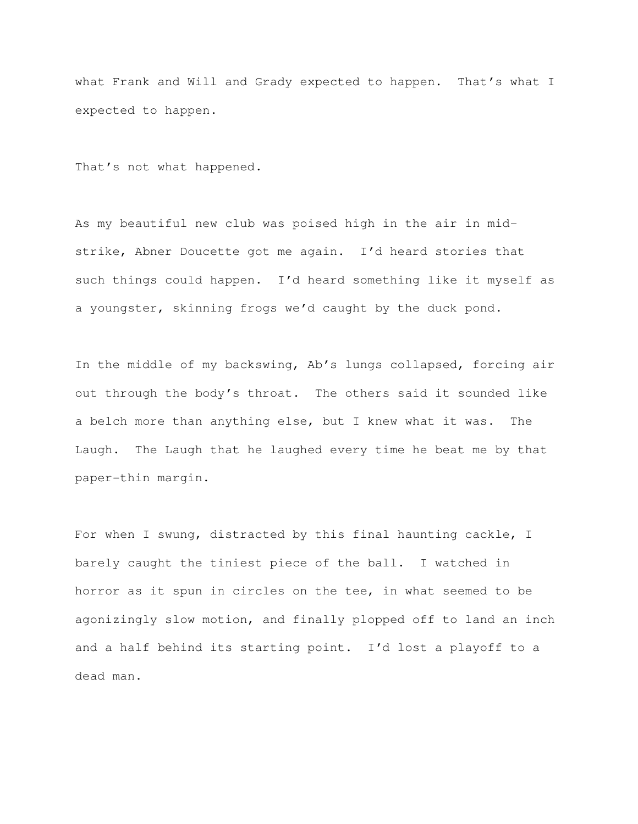what Frank and Will and Grady expected to happen. That's what I expected to happen.

That's not what happened.

As my beautiful new club was poised high in the air in midstrike, Abner Doucette got me again. I'd heard stories that such things could happen. I'd heard something like it myself as a youngster, skinning frogs we'd caught by the duck pond.

In the middle of my backswing, Ab's lungs collapsed, forcing air out through the body's throat. The others said it sounded like a belch more than anything else, but I knew what it was. The Laugh. The Laugh that he laughed every time he beat me by that paper-thin margin.

For when I swung, distracted by this final haunting cackle, I barely caught the tiniest piece of the ball. I watched in horror as it spun in circles on the tee, in what seemed to be agonizingly slow motion, and finally plopped off to land an inch and a half behind its starting point. I'd lost a playoff to a dead man.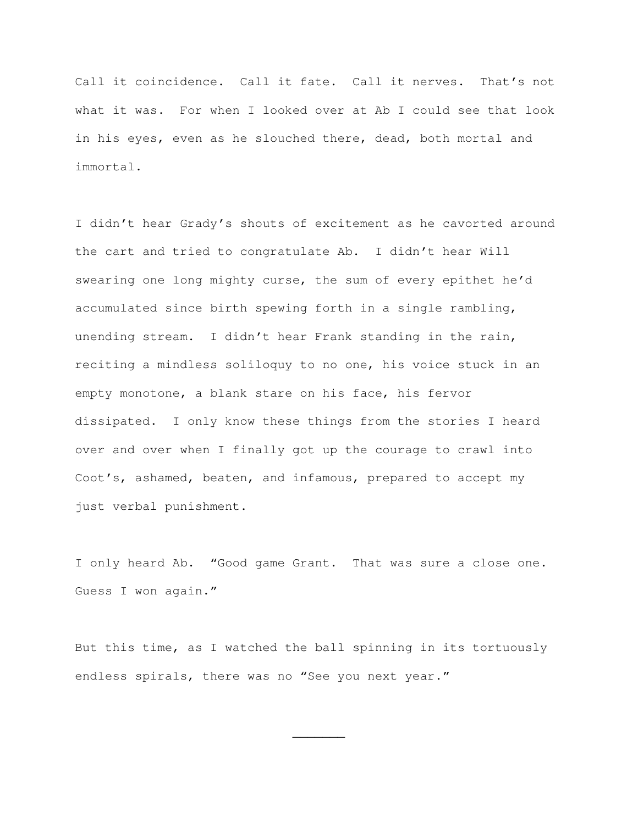Call it coincidence. Call it fate. Call it nerves. That's not what it was. For when I looked over at Ab I could see that look in his eyes, even as he slouched there, dead, both mortal and immortal.

I didn't hear Grady's shouts of excitement as he cavorted around the cart and tried to congratulate Ab. I didn't hear Will swearing one long mighty curse, the sum of every epithet he'd accumulated since birth spewing forth in a single rambling, unending stream. I didn't hear Frank standing in the rain, reciting a mindless soliloquy to no one, his voice stuck in an empty monotone, a blank stare on his face, his fervor dissipated. I only know these things from the stories I heard over and over when I finally got up the courage to crawl into Coot's, ashamed, beaten, and infamous, prepared to accept my just verbal punishment.

I only heard Ab. "Good game Grant. That was sure a close one. Guess I won again."

But this time, as I watched the ball spinning in its tortuously endless spirals, there was no "See you next year."

 $\overline{\phantom{a}}$   $\overline{\phantom{a}}$